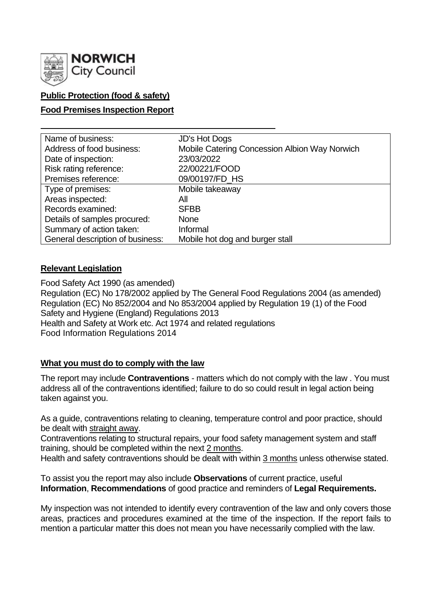

## **Public Protection (food & safety)**

### **Food Premises Inspection Report**

| Name of business:                | <b>JD's Hot Dogs</b>                          |
|----------------------------------|-----------------------------------------------|
| Address of food business:        | Mobile Catering Concession Albion Way Norwich |
| Date of inspection:              | 23/03/2022                                    |
| Risk rating reference:           | 22/00221/FOOD                                 |
| Premises reference:              | 09/00197/FD_HS                                |
| Type of premises:                | Mobile takeaway                               |
| Areas inspected:                 | All                                           |
| Records examined:                | <b>SFBB</b>                                   |
| Details of samples procured:     | <b>None</b>                                   |
| Summary of action taken:         | Informal                                      |
| General description of business: | Mobile hot dog and burger stall               |

### **Relevant Legislation**

Food Safety Act 1990 (as amended) Regulation (EC) No 178/2002 applied by The General Food Regulations 2004 (as amended) Regulation (EC) No 852/2004 and No 853/2004 applied by Regulation 19 (1) of the Food Safety and Hygiene (England) Regulations 2013 Health and Safety at Work etc. Act 1974 and related regulations Food Information Regulations 2014

### **What you must do to comply with the law**

The report may include **Contraventions** - matters which do not comply with the law . You must address all of the contraventions identified; failure to do so could result in legal action being taken against you.

As a guide, contraventions relating to cleaning, temperature control and poor practice, should be dealt with straight away.

Contraventions relating to structural repairs, your food safety management system and staff training, should be completed within the next 2 months.

Health and safety contraventions should be dealt with within 3 months unless otherwise stated.

To assist you the report may also include **Observations** of current practice, useful **Information**, **Recommendations** of good practice and reminders of **Legal Requirements.**

My inspection was not intended to identify every contravention of the law and only covers those areas, practices and procedures examined at the time of the inspection. If the report fails to mention a particular matter this does not mean you have necessarily complied with the law.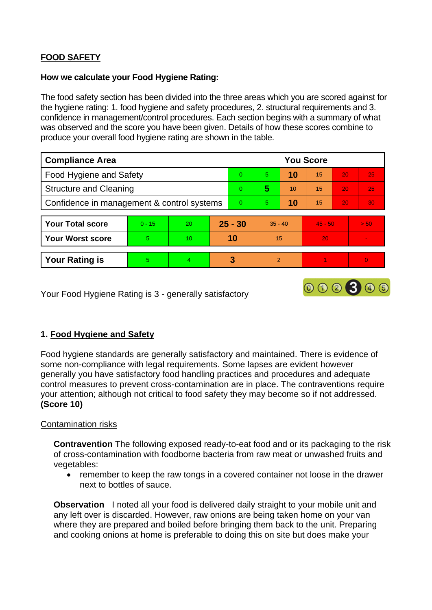## **FOOD SAFETY**

#### **How we calculate your Food Hygiene Rating:**

The food safety section has been divided into the three areas which you are scored against for the hygiene rating: 1. food hygiene and safety procedures, 2. structural requirements and 3. confidence in management/control procedures. Each section begins with a summary of what was observed and the score you have been given. Details of how these scores combine to produce your overall food hygiene rating are shown in the table.

| <b>Compliance Area</b>                     |          |    |           | <b>You Score</b> |               |    |           |    |          |  |
|--------------------------------------------|----------|----|-----------|------------------|---------------|----|-----------|----|----------|--|
| <b>Food Hygiene and Safety</b>             |          |    |           | $\Omega$         | 5.            | 10 | 15        | 20 | 25       |  |
| <b>Structure and Cleaning</b>              |          |    |           | $\Omega$         | 5             | 10 | 15        | 20 | 25       |  |
| Confidence in management & control systems |          |    |           | $\Omega$         | 5.            | 10 | 15        | 20 | 30       |  |
|                                            |          |    |           |                  |               |    |           |    |          |  |
| <b>Your Total score</b>                    | $0 - 15$ | 20 | $25 - 30$ |                  | $35 - 40$     |    | $45 - 50$ |    | > 50     |  |
| <b>Your Worst score</b>                    | 5        | 10 | 10        |                  | 15            |    | 20        |    | $\sim$   |  |
|                                            |          |    |           |                  |               |    |           |    |          |  |
| <b>Your Rating is</b>                      | 5        | 4  |           | 3                | $\mathcal{P}$ |    |           |    | $\Omega$ |  |

000300

Your Food Hygiene Rating is 3 - generally satisfactory

### **1. Food Hygiene and Safety**

Food hygiene standards are generally satisfactory and maintained. There is evidence of some non-compliance with legal requirements. Some lapses are evident however generally you have satisfactory food handling practices and procedures and adequate control measures to prevent cross-contamination are in place. The contraventions require your attention; although not critical to food safety they may become so if not addressed. **(Score 10)**

### Contamination risks

**Contravention** The following exposed ready-to-eat food and or its packaging to the risk of cross-contamination with foodborne bacteria from raw meat or unwashed fruits and vegetables:

• remember to keep the raw tongs in a covered container not loose in the drawer next to bottles of sauce.

**Observation** I noted all your food is delivered daily straight to your mobile unit and any left over is discarded. However, raw onions are being taken home on your van where they are prepared and boiled before bringing them back to the unit. Preparing and cooking onions at home is preferable to doing this on site but does make your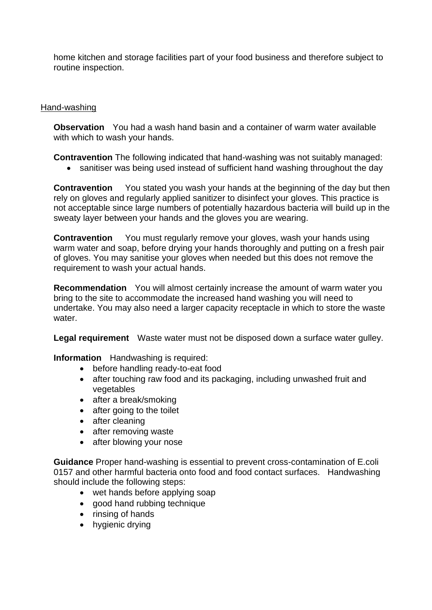home kitchen and storage facilities part of your food business and therefore subject to routine inspection.

### Hand-washing

**Observation** You had a wash hand basin and a container of warm water available with which to wash your hands.

**Contravention** The following indicated that hand-washing was not suitably managed:

• sanitiser was being used instead of sufficient hand washing throughout the day

**Contravention** You stated you wash your hands at the beginning of the day but then rely on gloves and regularly applied sanitizer to disinfect your gloves. This practice is not acceptable since large numbers of potentially hazardous bacteria will build up in the sweaty layer between your hands and the gloves you are wearing.

**Contravention** You must regularly remove your gloves, wash your hands using warm water and soap, before drying your hands thoroughly and putting on a fresh pair of gloves. You may sanitise your gloves when needed but this does not remove the requirement to wash your actual hands.

**Recommendation** You will almost certainly increase the amount of warm water you bring to the site to accommodate the increased hand washing you will need to undertake. You may also need a larger capacity receptacle in which to store the waste water.

**Legal requirement** Waste water must not be disposed down a surface water gulley.

**Information** Handwashing is required:

- before handling ready-to-eat food
- after touching raw food and its packaging, including unwashed fruit and vegetables
- after a break/smoking
- after going to the toilet
- after cleaning
- after removing waste
- after blowing your nose

**Guidance** Proper hand-washing is essential to prevent cross-contamination of E.coli 0157 and other harmful bacteria onto food and food contact surfaces. Handwashing should include the following steps:

- wet hands before applying soap
- good hand rubbing technique
- rinsing of hands
- hygienic drying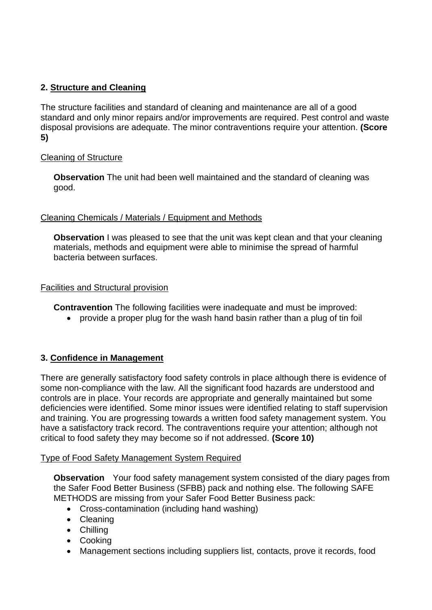# **2. Structure and Cleaning**

The structure facilities and standard of cleaning and maintenance are all of a good standard and only minor repairs and/or improvements are required. Pest control and waste disposal provisions are adequate. The minor contraventions require your attention. **(Score 5)**

## Cleaning of Structure

**Observation** The unit had been well maintained and the standard of cleaning was good.

### Cleaning Chemicals / Materials / Equipment and Methods

**Observation** I was pleased to see that the unit was kept clean and that your cleaning materials, methods and equipment were able to minimise the spread of harmful bacteria between surfaces.

### Facilities and Structural provision

**Contravention** The following facilities were inadequate and must be improved:

• provide a proper plug for the wash hand basin rather than a plug of tin foil

# **3. Confidence in Management**

There are generally satisfactory food safety controls in place although there is evidence of some non-compliance with the law. All the significant food hazards are understood and controls are in place. Your records are appropriate and generally maintained but some deficiencies were identified. Some minor issues were identified relating to staff supervision and training. You are progressing towards a written food safety management system. You have a satisfactory track record. The contraventions require your attention; although not critical to food safety they may become so if not addressed. **(Score 10)**

### Type of Food Safety Management System Required

**Observation** Your food safety management system consisted of the diary pages from the Safer Food Better Business (SFBB) pack and nothing else. The following SAFE METHODS are missing from your Safer Food Better Business pack:

- Cross-contamination (including hand washing)
- Cleaning
- Chilling
- Cooking
- Management sections including suppliers list, contacts, prove it records, food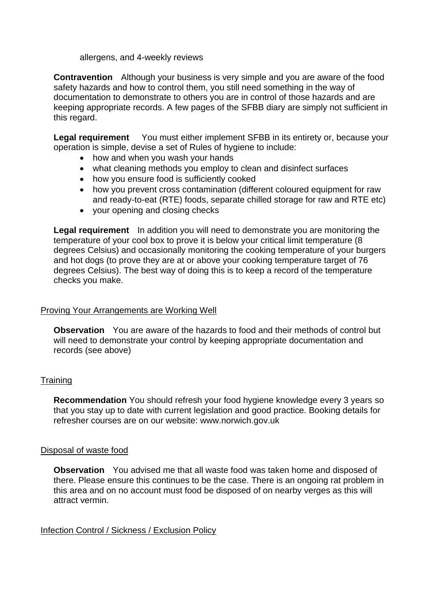allergens, and 4-weekly reviews

**Contravention** Although your business is very simple and you are aware of the food safety hazards and how to control them, you still need something in the way of documentation to demonstrate to others you are in control of those hazards and are keeping appropriate records. A few pages of the SFBB diary are simply not sufficient in this regard.

**Legal requirement** You must either implement SFBB in its entirety or, because your operation is simple, devise a set of Rules of hygiene to include:

- how and when you wash your hands
- what cleaning methods you employ to clean and disinfect surfaces
- how you ensure food is sufficiently cooked
- how you prevent cross contamination (different coloured equipment for raw and ready-to-eat (RTE) foods, separate chilled storage for raw and RTE etc)
- your opening and closing checks

**Legal requirement** In addition you will need to demonstrate you are monitoring the temperature of your cool box to prove it is below your critical limit temperature (8 degrees Celsius) and occasionally monitoring the cooking temperature of your burgers and hot dogs (to prove they are at or above your cooking temperature target of 76 degrees Celsius). The best way of doing this is to keep a record of the temperature checks you make.

### Proving Your Arrangements are Working Well

**Observation** You are aware of the hazards to food and their methods of control but will need to demonstrate your control by keeping appropriate documentation and records (see above)

### **Training**

**Recommendation** You should refresh your food hygiene knowledge every 3 years so that you stay up to date with current legislation and good practice. Booking details for refresher courses are on our website: www.norwich.gov.uk

#### Disposal of waste food

**Observation** You advised me that all waste food was taken home and disposed of there. Please ensure this continues to be the case. There is an ongoing rat problem in this area and on no account must food be disposed of on nearby verges as this will attract vermin.

### Infection Control / Sickness / Exclusion Policy